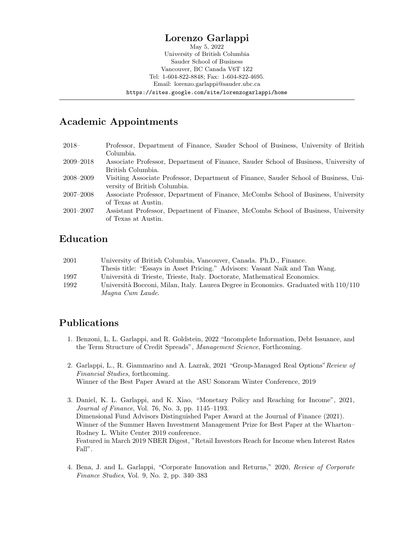# Lorenzo Garlappi

May 5, 2022 University of British Columbia Sauder School of Business Vancouver, BC Canada V6T 1Z2 Tel: 1-604-822-8848; Fax: 1-604-822-4695. Email: lorenzo.garlappi@sauder.ubc.ca https://sites.google.com/site/lorenzogarlappi/home

# Academic Appointments

| $2018-$       | Professor, Department of Finance, Sauder School of Business, University of British   |
|---------------|--------------------------------------------------------------------------------------|
|               | Columbia.                                                                            |
| $2009 - 2018$ | Associate Professor, Department of Finance, Sauder School of Business, University of |
|               | British Columbia.                                                                    |
| 2008–2009     | Visiting Associate Professor, Department of Finance, Sauder School of Business, Uni- |
|               | versity of British Columbia.                                                         |
| $2007 - 2008$ | Associate Professor, Department of Finance, McCombs School of Business, University   |
|               | of Texas at Austin.                                                                  |
| $2001 - 2007$ | Assistant Professor, Department of Finance, McCombs School of Business, University   |
|               | of Texas at Austin.                                                                  |

### Education

| 2001 | University of British Columbia, Vancouver, Canada. Ph.D., Finance.                     |
|------|----------------------------------------------------------------------------------------|
|      | Thesis title: "Essays in Asset Pricing." Advisors: Vasant Naik and Tan Wang.           |
| 1997 | Università di Trieste, Trieste, Italy. Doctorate, Mathematical Economics.              |
| 1992 | Università Bocconi, Milan, Italy. Laurea Degree in Economics. Graduated with $110/110$ |
|      | Magna Cum Laude.                                                                       |

# Publications

- 1. Benzoni, L, L. Garlappi, and R. Goldstein, 2022 "Incomplete Information, Debt Issuance, and the Term Structure of Credit Spreads", Management Science, Forthcoming.
- 2. Garlappi, L., R. Giammarino and A. Lazrak, 2021 "Group-Managed Real Options"Review of Financial Studies, forthcoming. Winner of the Best Paper Award at the ASU Sonoram Winter Conference, 2019
- 3. Daniel, K. L. Garlappi, and K. Xiao, "Monetary Policy and Reaching for Income", 2021, Journal of Finance, Vol. 76, No. 3, pp. 1145–1193. Dimensional Fund Advisors Distinguished Paper Award at the Journal of Finance (2021). Winner of the Summer Haven Investment Management Prize for Best Paper at the Wharton– Rodney L. White Center 2019 conference. Featured in March 2019 NBER Digest, "Retail Investors Reach for Income when Interest Rates Fall".
- 4. Bena, J. and L. Garlappi, "Corporate Innovation and Returns," 2020, Review of Corporate Finance Studies, Vol. 9, No. 2, pp. 340–383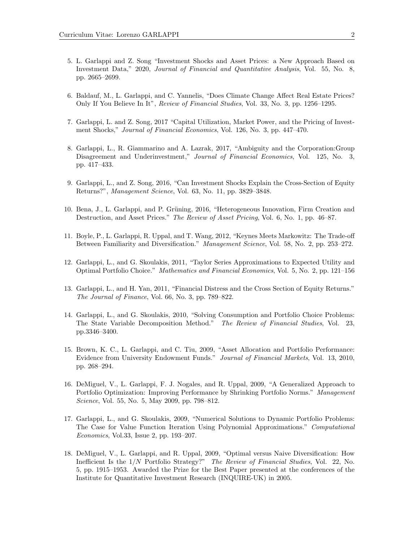- 5. L. Garlappi and Z. Song "Investment Shocks and Asset Prices: a New Approach Based on Investment Data," 2020, Journal of Financial and Quantitative Analysis, Vol. 55, No. 8, pp. 2665–2699.
- 6. Baldauf, M., L. Garlappi, and C. Yannelis, "Does Climate Change Affect Real Estate Prices? Only If You Believe In It", Review of Financial Studies, Vol. 33, No. 3, pp. 1256–1295.
- 7. Garlappi, L. and Z. Song, 2017 "Capital Utilization, Market Power, and the Pricing of Investment Shocks," Journal of Financial Economics, Vol. 126, No. 3, pp. 447–470.
- 8. Garlappi, L., R. Giammarino and A. Lazrak, 2017, "Ambiguity and the Corporation:Group Disagreement and Underinvestment," Journal of Financial Economics, Vol. 125, No. 3, pp. 417–433.
- 9. Garlappi, L., and Z. Song, 2016, "Can Investment Shocks Explain the Cross-Section of Equity Returns?", Management Science, Vol. 63, No. 11, pp. 3829–3848.
- 10. Bena, J., L. Garlappi, and P. Grüning, 2016, "Heterogeneous Innovation, Firm Creation and Destruction, and Asset Prices." The Review of Asset Pricing, Vol. 6, No. 1, pp. 46–87.
- 11. Boyle, P., L. Garlappi, R. Uppal, and T. Wang, 2012, "Keynes Meets Markowitz: The Trade-off Between Familiarity and Diversification." Management Science, Vol. 58, No. 2, pp. 253–272.
- 12. Garlappi, L., and G. Skoulakis, 2011, "Taylor Series Approximations to Expected Utility and Optimal Portfolio Choice." Mathematics and Financial Economics, Vol. 5, No. 2, pp. 121–156
- 13. Garlappi, L., and H. Yan, 2011, "Financial Distress and the Cross Section of Equity Returns." The Journal of Finance, Vol. 66, No. 3, pp. 789–822.
- 14. Garlappi, L., and G. Skoulakis, 2010, "Solving Consumption and Portfolio Choice Problems: The State Variable Decomposition Method." The Review of Financial Studies, Vol. 23, pp.3346–3400.
- 15. Brown, K. C., L. Garlappi, and C. Tiu, 2009, "Asset Allocation and Portfolio Performance: Evidence from University Endowment Funds." Journal of Financial Markets, Vol. 13, 2010, pp. 268–294.
- 16. DeMiguel, V., L. Garlappi, F. J. Nogales, and R. Uppal, 2009, "A Generalized Approach to Portfolio Optimization: Improving Performance by Shrinking Portfolio Norms." Management Science, Vol. 55, No. 5, May 2009, pp. 798–812.
- 17. Garlappi, L., and G. Skoulakis, 2009, "Numerical Solutions to Dynamic Portfolio Problems: The Case for Value Function Iteration Using Polynomial Approximations." Computational Economics, Vol.33, Issue 2, pp. 193–207.
- 18. DeMiguel, V., L. Garlappi, and R. Uppal, 2009, "Optimal versus Naive Diversification: How Inefficient Is the 1/N Portfolio Strategy?" The Review of Financial Studies, Vol. 22, No. 5, pp. 1915–1953. Awarded the Prize for the Best Paper presented at the conferences of the Institute for Quantitative Investment Research (INQUIRE-UK) in 2005.